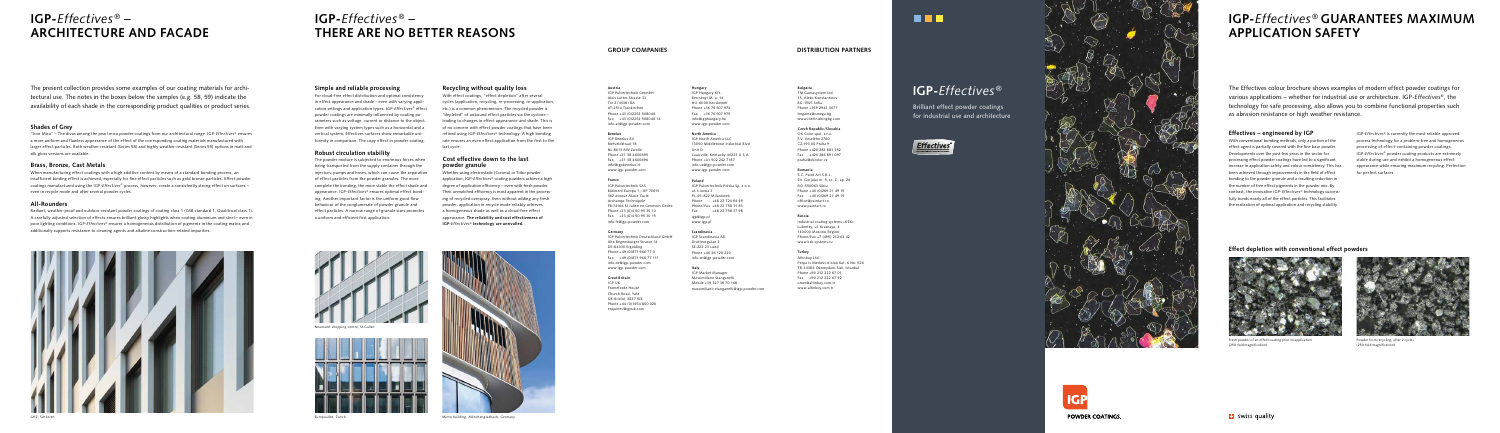The Effectives colour brochure shows examples of modern effect powder coatings for various applications – whether for industrial use or architecture. IGP-*Effectives®*, the technology for safe processing, also allows you to combine functional properties such as abrasion resistance or high weather resistance.

The present collection provides some examples of our coating materials for architectural use. The notes in the boxes below the samples (e.g. 58, 59) indicate the availability of each shade in the corresponding product qualities or product series.

# **Effectives – engineered by IGP**

With conventional bonding methods, only a portion of the effect agent is partially covered with the fine base powder. Developments over the past few years in the sector for processing effect powder coatings have led to a significant increase in application safety and colour consistency. This has been achieved through improvements in the field of effect bonding to the powder granule and a resulting reduction in the number of free effect pigments in the powder mix. By contrast, the innovative IGP-*Effectives*® technology successfully bonds nearly all of the effect particles. This facilitates the realization of optimal application and recycling stability.

IGP-*Effectives*® is currently the most reliable approved process technology for a problem-free and homogeneous processing of effect-containing powder coatings. IGP-*Effectives*® powder coating products are extremely stable during use and exhibit a homogeneous effect appearance while ensuring maximum recycling. Perfection for perfect surfaces.



Fresh powder of an effect coating prior to application (250-fold magnification)



Powder from recycling, after 2 cycles (250-fold magnification)



**IGP-***Effectives ® –* **THERE ARE NO BETTER REASONS**

# **IGP-***Effectives ® –* **ARCHITECTURE AND FACADE**

# **IGP-***Effectives ®*

Brilliant effect powder coatings for industrial use and architecture





# **IGP-***Effectives ®* **GUARANTEES MAXIMUM APPLICATION SAFETY**

# **Effect depletion with conventional effect powders**

# **Simple and reliable processing**

For cloud-free effect distribution and optimal consistency in effect appearance and shade – even with varying application settings and application types. IGP-*Effectives*® effect powder coatings are minimally influenced by coating parameters such as voltage, current or distance to the object. Even with varying system types such as a horizontal and a vertical system, Effectives surfaces show remarkable uniformity in comparison. The copy effect in powder coating.

## **Robust circulation stability**

Radiant, weather-proof and outdoor-resistant powder coatings of coating class 1 (GSB standard 1, Qualitcoat class 1). A carefully adjusted selection of effects ensures brilliant glossy highlights when coating aluminium and steel – even in poor lighting conditions. IGP-*Effectives*® ensures a homogeneous distribution of pigments in the coating matrix and additionally supports resistance to cleaning agents and alkaline construction-related impurities.



The powder mixture is subjected to enormous forces when being transported from the supply container through the injectors, pumps and hoses, which can cause the separation of effect particles from the powder granules. The more complete the bonding, the more stable the effect shade and appearance. IGP-*Effectives*® ensures optimal effect bonding. Another important factor is the uniform good flow behaviour of the conglomerate of powder granule and effect particles. A narrow range of granule sizes promotes a uniform and efficient first application.

## **Recycling without quality loss**

With effect coatings, "effect depletion" after several cycles (application, recycling, re-processing, re-application, etc.) is a common phenomenon. The recycled powder is "depleted" of unbound effect particles via the cyclone – leading to changes in effect appearance and shade. This is of no concern with effect powder coatings that have been refined using IGP-*Effectives*® technology. A high bonding rate ensures an even effect application from the first to the

last cycle.



Neumarkt shopping centre, St.Gall



### **Cost effective down to the last powder granule**

### **Hungary** IGP Hungary Kft. Bercsényi M. u. 14. HU-6000 Kecskemé

Whether using electrostatic (Corona) or Tribo powder application, IGP-*Effectives*® coating powders achieve a high degree of application efficiency – even with fresh powder. Their unmatched efficiency is most apparent in the processing of recycled overspray: Even without adding any fresh powder, application in recycle mode reliably achieves a homogeneous shade as well as a cloud-free effect appearance. **The reliability and cost effectiveness of IGP-***Effectives®* **technology are unrivalled.**



Europaallee, Zurich



## **Shades of Grey**

"Iron Mica" – The divas among the pearl mica powder coatings from our architectural range. IGP-*Effectives*® ensures a more uniform and flawless appearance of the effect of the corresponding coating materials manufactured with larger effect particles. Both weather-resistant (Series 58) and highly weather-resistant (Series 59) options in matt and silk gloss versions are available.

## **Brass, Bronze, Cast Metals**

When manufacturing effect coatings with a high additive content by means of a standard bonding process, an insufficient binding effect is achieved, especially for fine effect particles such as gold bronze particles. Effect powder coatings manufactured using the IGP-*Effectives*® process, however, create a consistently strong effect on surfaces – even in recycle mode and after several powder cycles.

# **All-Rounders**

# **GROUP COMPANIES DISTRIBUTION PARTNERS**

## **Austria**

IGP Pulvertechnik GesmbH Alois Lutter-Strasse 33 Tor 2 / M38 / 8A AT-2514 Traiskirchen Phone +43 (0)2252 508046 Fax +43 (0)2252 508046 14 info.at@igp-powder.com

### **Benelux**

IGP Benelux BV Rietveldstraat 18 NL-8013 RW Zwolle Phone +31 38 4600695 Fax +31 38 4600696 info@igpbenelux.nl www.igp-powder.com

### **France**

IGP Pulvertechnik SAS Bâtiment Europa 1 – BP 70615 362 avenue Marie Curie Archamps Technopole FR-74166 St Julien en Genevois Cedex Phone +33 (0)4 50 95 35 10 Fax +33 (0)4 50 95 30 15 info.fr@igp-powder.com

#### **Germany**

IGP Pulvertechnik Deutschland GmbH Alte Regensburger Strasse 14 DE-84030 Ergolding Phone +49 (0)871 966 77 0 Fax +49 (0)871 966 77 111 info.de@igp-powder.com www.igp-powder.com

### **Great Britain**

IGP UK Fromeforde House Church Road, Yate GB-Bristol, BS37 5JB Phone +44 (0)1454 800 020 enquiries@igpuk.com

#### **Bulgaria** TM Gamasystem Ltd.

35, Aleko Konstantinov BG-1505 Sofia Phone +359 2943 3677 tmgama@omega.bg www.itwfinishingbg.com

### **Czech Republic/Slovakia**

OK Color spol. s.r.o. F.V. Veselého 2760 CZ-193 00 Praha 9 Phone +420 283 881 252 Fax +420 286 891 097 praha@okcolor.cz

#### **Romania**

S.C. Paint Art S.R.L. Str. Gorjului nr. 5, sc. C, ap. 26 RO-550063 Sibiu Phone +40 (0)269 21 49 15 Fax +40 (0)269 21 49 15 office@paintart.ro www.paintart.ro

#### **Russia**

Industrial coating systems «KSK» Lubertsy, ul. Krasnaya, 4 140000 Moscow Region Phone/Fax +7 (495) 232 64 42 www.ksk-systems.ru

### **Turkey**

Altinboy Ltd. Perpa Is Merkezi A blok Kat: 6 No: 526 TR-34384 Okmeydani-Sisli, Istanbul Phone +90 212 222 87 01 Fax +90 212 222 67 92 omer@altinboy.com.tr www.altinboy.com.tr

Minto building, Mönchengladbach, Germany



Phone +36 76 507 974 Fax +36 76 507 975 info@igphungary.hu www.igp-powder.com

#### **North America**

IGP North America LLC 13050 Middletown Industrial Blvd Unit D Louisville, Kentucky 40223 U.S.A Phone +01 502 242 7187 info.us@igp-powder.com www.igp-powder.com

#### **Poland**

IGP Pulvertechnik Polska Sp. z o.o. ul.  $\frac{1}{2}$  kowa 3 PL-05-822 Milanówek Phone +48 22 724 94 49 Phone/Fax +48 22 758 31 83  $Fax +4822758379$ igp@igp.pl www.igp.pl

#### **Scandinavia**

IGP Scandinavia AB Drottensgatan 2 SE-222 23 Lund Phone +46 46 120 220 info.se@igp-powder.com

### **Italy**

IGP Market Manager Massimiliano Stanganelli Mobile +39 327 38 70 168 massimiliano.stanganelli@igp-powder.com